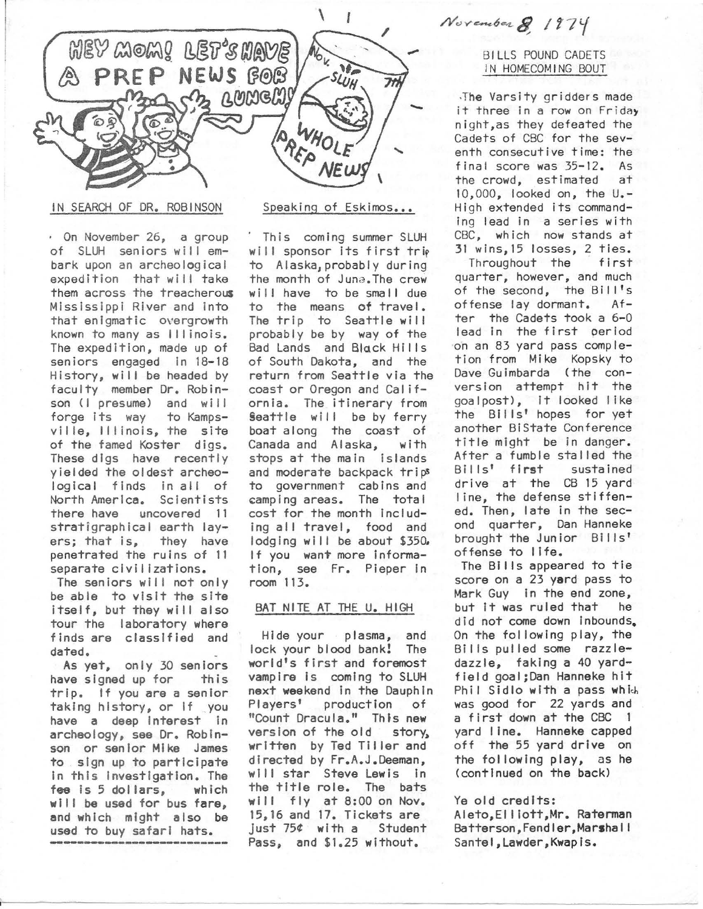

IN SEARCH OF DR. ROBINSON

· On November 26, a group of SLUH seniors will embark upon an archeological expedition that will take them across the treacherous Mississippi River and into that enigmatic overgrowth known to many as Illinois. The expedition, made up of seniors engaged in 18-18 History, will be headed by faculty member Dr. Robinson (I presume) and will forge Its way to Kampsville, Illinois, the site of the famed Koster digs. These digs have recently yielded the oldest archeological finds in all of North America. Scientists uncovered 11 stratigraphical earth layers; that is, they have penetrated the ruins of 11 separate civil izatlons.

The seniors will not only be able to visit the site itself, but they will also tour the laboratory where finds are classified and dated.

As yet. only 30 seniors have signed up for this trip. If you are a senior taking history, or If \_you have a deep Interest in archeology, see Dr. Rob inson or senior Mike James to . sign up to participate In this Investigation. The fee Is 5 dol Iars, which will be used for bus fare, and which might also be used to buy safari hats.

## Speaking of Eskimos...

This coming summer SLUH will sponsor its first trip to Alaska, probably during the month of Juna. The crew will have to be small due to the means of travel. The trip to Seattle will probably be by way of the Bad Lands and Black Hills of South Dakota, and the return from Seattle via the coast or Oregon and California. The itinerary from Seattle will be by ferry boat along the coast of Canada and Alaska, with stops at the main islands and moderate backpack trips to government cabins and camping areas. The total cost for the month Including all travel, food and lodging will be about \$350. If you want more information, see Fr. Pieper in room 113.

## BAT NITE AT THE U. HIGH

Hide your plasma, and lock your blood bank! The world's first and foremost vampire is coming to SLUH next weekend In the Dauphin Players' production of "Count Dracula." Thfs new version of the old story, written by Ted Tiller and directed by Fr.A.J.Deeman, will star Steve Lewis in the title role. The bats will fly at 8:00 on Nov. 15,16 and 17. Tickets are just 75¢ with a Student Pass, and \$1.25 without.

# November 8, 1974

## BILLS POUND CADETS IN HOMECOMING BOUT

·The Varsity gridders made it three in a row on Friday night,as they defeated the Cadets of CBC for the seventh consecutive time: the final score was 35-12. As the crowd, estimated at 10,000, looked on, the u.- High extended its commanding lead in a series with CBC, which now stands at 31 wins,15 losses, 2 ties.

Throughout the first quarter, however, and much of the second, the Bill's<br>offense lav dormant. Afoffense lay dormant. ter the Cadets took a 6-0 lead in the first period on an 83 yard pass completion from Mike Kopsky to Dave Gulmbarda (the conversion attempt hit the goalpost>, it looked I ike the Bills' hopes for yet another BiState Conference title might be in danger. After a fumble stalled the Bills' first sustained drive at the CB 15 yard I ine, the defense stiffened. Then, late in the second quarter, Dan Hanneke brought the Junior Bills' offense to life.<br>The Bills appeared to tie

score on a 23 yard pass to Mark Guy In the end zone, but It was ruled that he did not come down inbounds. On the following play, the Bills pulled some razzledazzle, faking a 40 yardfield goai;Dan Hanneke hit Phil Sidlo with a pass which was good for 22 yards and a first down at the CBC 1 yard I ine. Hanneke capped off the 55 yard drive on the following play, as he (continued on the back)

## Ye old credits:

Aleto,EI liott,Mr. Raterman Batterson,Fendler,Marshall Santei,Lawder,Kwapls.